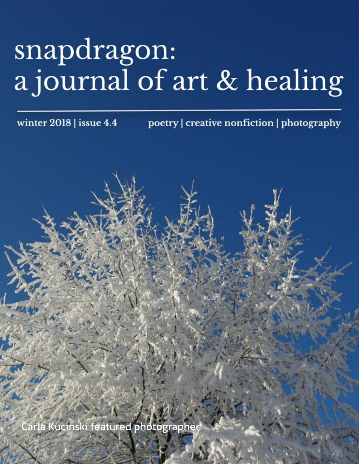## snapdragon:<br>a journal of art & healing

winter 2018 | issue 4.4

poetry | creative nonfiction | photography

Carla Kucinski featured photographer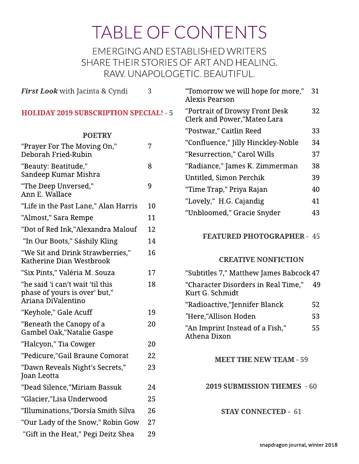## TABLE OF CONTENTS

EMERGING AND ESTABLISHED WRITERS SHARE THEIR STORIES OF ART AND HEALING. RAW.UNAPOLOGETIC.BEAUTIFUL.

|  | <b>First Look</b> with Jacinta & Cyndi                            | 3  | "Tomorrow we will hope for more,"<br>Alexis Pearson           | 31 |
|--|-------------------------------------------------------------------|----|---------------------------------------------------------------|----|
|  | <b>HOLIDAY 2019 SUBSCRIPTION SPECIAL! - 5</b>                     |    | "Portrait of Drowsy Front Desk<br>Clerk and Power,"Mateo Lara | 32 |
|  | <b>POETRY</b>                                                     |    | "Postwar," Caitlin Reed                                       | 33 |
|  | "Prayer For The Moving On,"<br>Deborah Fried-Rubin                | 7  | "Confluence," Jilly Hinckley-Noble                            | 34 |
|  |                                                                   |    | "Resurrection," Carol Wills                                   | 37 |
|  | "Beauty: Beatitude,"                                              | 8  | "Radiance," James K. Zimmerman                                | 38 |
|  | Sandeep Kumar Mishra                                              |    | Untitled, Simon Perchik                                       | 39 |
|  | "The Deep Unversed,"                                              | 9  | "Time Trap," Priya Rajan                                      | 40 |
|  | Ann E. Wallace                                                    |    | "Lovely," H.G. Cajandig                                       | 41 |
|  | "Life in the Past Lane," Alan Harris                              | 10 | "Unbloomed," Gracie Snyder                                    | 43 |
|  | "Almost," Sara Rempe                                              | 11 |                                                               |    |
|  | "Dot of Red Ink,"Alexandra Malouf                                 | 12 | <b>FEATURED PHOTOGRAPHER - 45</b>                             |    |
|  | "In Our Boots," Sáshily Kling                                     | 14 |                                                               |    |
|  | "We Sit and Drink Strawberries,"<br>Katherine Dian Westbrook      | 16 | <b>CREATIVE NONFICTION</b>                                    |    |
|  | "Six Pints," Valéria M. Souza                                     | 17 | "Subtitles 7," Matthew James Babcock 47                       |    |
|  | "he said 'i can't wait 'til this<br>phase of yours is over' but," | 18 | "Character Disorders in Real Time,"<br>Kurt G. Schmidt        | 49 |
|  | Ariana DiValentino                                                |    | "Radioactive,"Jennifer Blanck                                 | 52 |
|  | "Keyhole," Gale Acuff                                             | 19 | "Here,"Allison Hoden                                          | 53 |
|  | "Beneath the Canopy of a<br>Gambel Oak,"Natalie Gaspe             | 20 | "An Imprint Instead of a Fish,"<br>Athena Dixon               | 55 |
|  | "Halcyon," Tia Cowger                                             | 20 |                                                               |    |
|  | "Pedicure,"Gail Braune Comorat                                    | 22 | <b>MEET THE NEW TEAM - 59</b>                                 |    |
|  | "Dawn Reveals Night's Secrets,"<br>Joan Leotta                    | 23 |                                                               |    |
|  | "Dead Silence,"Miriam Bassuk                                      | 24 | 2019 SUBMISSION THEMES - 60                                   |    |
|  | "Glacier,"Lisa Underwood                                          | 25 |                                                               |    |
|  | "Illuminations,"Dorsía Smith Silva                                | 26 | <b>STAY CONNECTED - 61</b>                                    |    |
|  | "Our Lady of the Snow," Robin Gow                                 | 27 |                                                               |    |
|  | "Gift in the Heat," Pegi Deitz Shea                               | 29 |                                                               |    |